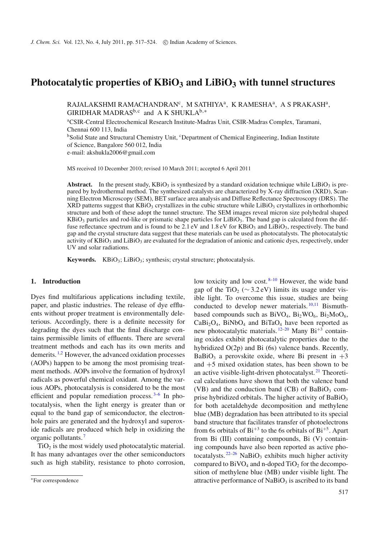# **Photocatalytic properties of KBiO3 and LiBiO3 with tunnel structures**

RAJALAKSHMI RAMACHANDRAN<sup>c</sup>, M SATHIYA<sup>a</sup>, K RAMESHA<sup>a</sup>, A S PRAKASH<sup>a</sup>, GIRIDHAR MADRAS<sup>b,c</sup> and A K SHUKLA<sup>b,\*</sup>

a CSIR-Central Electrochemical Research Institute-Madras Unit, CSIR-Madras Complex, Taramani, Chennai 600 113, India

<sup>b</sup>Solid State and Structural Chemistry Unit, <sup>c</sup>Department of Chemical Engineering, Indian Institute of Science, Bangalore 560 012, India e-mail: akshukla2006@gmail.com

MS received 10 December 2010; revised 10 March 2011; accepted 6 April 2011

**Abstract.** In the present study,  $KBiO<sub>3</sub>$  is synthesized by a standard oxidation technique while  $LiBiO<sub>3</sub>$  is prepared by hydrothermal method. The synthesized catalysts are characterized by X-ray diffraction (XRD), Scanning Electron Microscopy (SEM), BET surface area analysis and Diffuse Reflectance Spectroscopy (DRS). The  $XRD$  patterns suggest that  $KBiO<sub>3</sub>$  crystallizes in the cubic structure while  $LiBiO<sub>3</sub>$  crystallizes in orthorhombic structure and both of these adopt the tunnel structure. The SEM images reveal micron size polyhedral shaped  $KBiO<sub>3</sub>$  particles and rod-like or prismatic shape particles for LiBiO<sub>3</sub>. The band gap is calculated from the diffuse reflectance spectrum and is found to be 2.1 eV and  $1.8 \text{ eV}$  for KBiO<sub>3</sub> and LiBiO<sub>3</sub>, respectively. The band gap and the crystal structure data suggest that these materials can be used as photocatalysts. The photocatalytic activity of  $KBiO<sub>3</sub>$  and  $LiBiO<sub>3</sub>$  are evaluated for the degradation of anionic and cationic dyes, respectively, under UV and solar radiations.

**Keywords.** KBi $O_3$ ; LiBi $O_3$ ; synthesis; crystal structure; photocatalysis.

## **1. Introduction**

Dyes find multifarious applications including textile, paper, and plastic industries. The release of dye effluents without proper treatment is environmentally deleterious. Accordingly, there is a definite necessity for degrading the dyes such that the final discharge contains permissible limits of effluents. There are several treatment methods and each has its own merits and demerits. [1](#page-6-0)[,2](#page-6-1) However, the advanced oxidation processes (AOPs) happen to be among the most promising treatment methods. AOPs involve the formation of hydroxyl radicals as powerful chemical oxidant. Among the various AOPs, photocatalysis is considered to be the most efficient and popular remediation process.  $3-6$  $3-6$  In photocatalysis, when the light energy is greater than or equal to the band gap of semiconductor, the electronhole pairs are generated and the hydroxyl and superoxide radicals are produced which help in oxidizing the organic pollutants. [7](#page-6-4)

 $TiO<sub>2</sub>$  is the most widely used photocatalytic material. It has many advantages over the other semiconductors such as high stability, resistance to photo corrosion,

low toxicity and low cost.<sup>[8](#page-6-5)-10</sup> However, the wide band gap of the TiO<sub>2</sub> ( $\sim$  3.2 eV) limits its usage under visible light. To overcome this issue, studies are being conducted to develop newer materials.  $10,11$  $10,11$  Bismuthbased compounds such as  $BiVO<sub>4</sub>$ ,  $Bi<sub>2</sub>WO<sub>6</sub>$ ,  $Bi<sub>2</sub>MoO<sub>6</sub>$ ,  $CaBi<sub>2</sub>O<sub>4</sub>$ , BiNbO<sub>4</sub> and BiTaO<sub>4</sub> have been reported as new photocatalytic materials.  $12-20$  $12-20$  Many Bi<sup>+3</sup> containing oxides exhibit photocatalytic properties due to the hybridized O(2p) and Bi (6s) valence bands. Recently, BaBiO<sub>3</sub> a perovskite oxide, where Bi present in  $+3$ and +5 mixed oxidation states, has been shown to be an active visible-light-driven photocatalyst.<sup>[21](#page-7-1)</sup> Theoretical calculations have shown that both the valence band (VB) and the conduction band (CB) of BaBiO<sub>3</sub> comprise hybridized orbitals. The higher activity of  $BaBiO<sub>3</sub>$ for both acetaldehyde decomposition and methylene blue (MB) degradation has been attributed to its special band structure that facilitates transfer of photoelectrons from 6s orbitals of  $Bi^{+3}$  to the 6s orbitals of  $Bi^{+5}$ . Apart from Bi (III) containing compounds, Bi (V) containing compounds have also been reported as active photocatalysts.  $22-26$  $22-26$  NaBiO<sub>3</sub> exhibits much higher activity compared to  $\rm BiVO_4$  and n-doped  $\rm TiO_2$  for the decomposition of methylene blue (MB) under visible light. The attractive performance of  $NaBiO<sub>3</sub>$  is ascribed to its band

<sup>∗</sup>For correspondence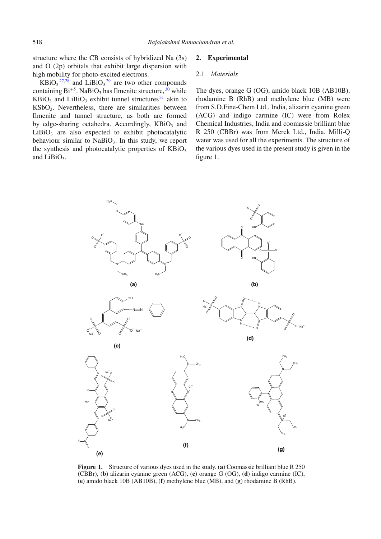structure where the CB consists of hybridized Na (3s) and O (2p) orbitals that exhibit large dispersion with high mobility for photo-excited electrons.

 $KBiO<sub>3</sub><sup>27,28</sup>$  $KBiO<sub>3</sub><sup>27,28</sup>$  $KBiO<sub>3</sub><sup>27,28</sup>$  $KBiO<sub>3</sub><sup>27,28</sup>$  and  $LiBiO<sub>3</sub><sup>29</sup>$  $LiBiO<sub>3</sub><sup>29</sup>$  $LiBiO<sub>3</sub><sup>29</sup>$  are two other compounds containing  $Bi^{+5}$ . NaBiO<sub>3</sub> has Ilmenite structure,  $30$  while  $KBiO<sub>3</sub>$  and  $LiBiO<sub>3</sub>$  exhibit tunnel structures<sup>[31](#page-7-8)</sup> akin to  $KSbO<sub>3</sub>$ . Nevertheless, there are similarities between Ilmenite and tunnel structure, as both are formed by edge-sharing octahedra. Accordingly,  $KBiO<sub>3</sub>$  and  $LiBiO<sub>3</sub>$  are also expected to exhibit photocatalytic behaviour similar to  $Nabio<sub>3</sub>$ . In this study, we report the synthesis and photocatalytic properties of  $KBiO<sub>3</sub>$ and  $LiBiO<sub>3</sub>$ .

## **2. Experimental**

## 2.1 *Materials*

The dyes, orange G (OG), amido black 10B (AB10B), rhodamine B (RhB) and methylene blue (MB) were from S.D.Fine-Chem Ltd., India, alizarin cyanine green (ACG) and indigo carmine (IC) were from Rolex Chemical Industries, India and coomassie brilliant blue R 250 (CBBr) was from Merck Ltd., India. Milli-Q water was used for all the experiments. The structure of the various dyes used in the present study is given in the figure [1.](#page-1-0)

<span id="page-1-0"></span>

**Figure 1.** Structure of various dyes used in the study. (**a**) Coomassie brilliant blue R 250 (CBBr), (**b**) alizarin cyanine green (ACG), (**c**) orange G (OG), (**d**) indigo carmine (IC), (**e**) amido black 10B (AB10B), (**f**) methylene blue (MB), and (**g**) rhodamine B (RhB).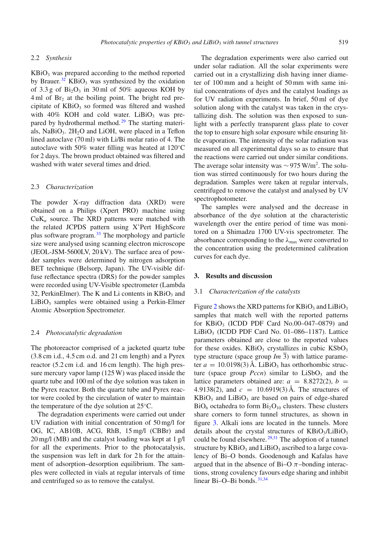#### 2.2 *Synthesis*

KBiO3 was prepared according to the method reported by Brauer.<sup>[32](#page-7-9)</sup> KBiO<sub>3</sub> was synthesized by the oxidation of  $3.3 g$  of Bi<sub>2</sub>O<sub>3</sub> in 30 ml of 50% aqueous KOH by  $4 \text{ ml}$  of  $Br_2$  at the boiling point. The bright red precipitate of  $KBiO<sub>3</sub>$  so formed was filtered and washed with  $40\%$  KOH and cold water. LiBiO<sub>3</sub> was pre-pared by hydrothermal method.<sup>[29](#page-7-6)</sup> The starting materials, NaBiO<sub>3</sub>. 2H<sub>2</sub>O and LiOH, were placed in a Teflon lined autoclave (70 ml) with Li/Bi molar ratio of 4. The autoclave with 50% water filling was heated at 120◦C for 2 days. The brown product obtained was filtered and washed with water several times and dried.

# 2.3 *Characterization*

The powder X-ray diffraction data (XRD) were obtained on a Philips (Xpert PRO) machine using  $CuK_{\alpha}$  source. The XRD patterns were matched with the related JCPDS pattern using X'Pert HighScore plus software program. [33](#page-7-10) The morphology and particle size were analysed using scanning electron microscope (JEOL-JSM-5600LV, 20 kV). The surface area of powder samples were determined by nitrogen adsorption BET technique (Belsorp, Japan). The UV-visible diffuse reflectance spectra (DRS) for the powder samples were recorded using UV-Visible spectrometer (Lambda 32, PerkinElmer). The K and Li contents in  $KBiO<sub>3</sub>$  and  $LiBiO<sub>3</sub>$  samples were obtained using a Perkin-Elmer Atomic Absorption Spectrometer.

## 2.4 *Photocatalytic degradation*

The photoreactor comprised of a jacketed quartz tube (3.8 cm i.d., 4.5 cm o.d. and 21 cm length) and a Pyrex reactor (5.2 cm i.d. and 16 cm length). The high pressure mercury vapor lamp (125 W) was placed inside the quartz tube and 100 ml of the dye solution was taken in the Pyrex reactor. Both the quartz tube and Pyrex reactor were cooled by the circulation of water to maintain the temperature of the dye solution at 25◦C.

The degradation experiments were carried out under UV radiation with initial concentration of 50 mg/l for OG, IC, AB10B, ACG, RhB, 15 mg/l (CBBr) and 20 mg/l (MB) and the catalyst loading was kept at 1 g/l for all the experiments. Prior to the photocatalysis, the suspension was left in dark for 2 h for the attainment of adsorption–desorption equilibrium. The samples were collected in vials at regular intervals of time and centrifuged so as to remove the catalyst.

The degradation experiments were also carried out under solar radiation. All the solar experiments were carried out in a crystallizing dish having inner diameter of 100 mm and a height of 50 mm with same initial concentrations of dyes and the catalyst loadings as for UV radiation experiments. In brief, 50 ml of dye solution along with the catalyst was taken in the crystallizing dish. The solution was then exposed to sunlight with a perfectly transparent glass plate to cover the top to ensure high solar exposure while ensuring little evaporation. The intensity of the solar radiation was measured on all experimental days so as to ensure that the reactions were carried out under similar conditions. The average solar intensity was  $\sim$  975 W/m<sup>2</sup>. The solution was stirred continuously for two hours during the degradation. Samples were taken at regular intervals, centrifuged to remove the catalyst and analysed by UV spectrophotometer.

The samples were analysed and the decrease in absorbance of the dye solution at the characteristic wavelength over the entire period of time was monitored on a Shimadzu 1700 UV-vis spectrometer. The absorbance corresponding to the  $\lambda_{\text{max}}$  were converted to the concentration using the predetermined calibration curves for each dye.

## **3. Results and discussion**

## 3.1 *Characterization of the catalysts*

Figure [2](#page-3-0) shows the XRD patterns for  $KBiO_3$  and  $LiBiO_3$ samples that match well with the reported patterns for  $KBiO<sub>3</sub>$  (ICDD PDF Card No.00–047–0879) and LiBiO<sub>3</sub> (ICDD PDF Card No. 01–086–1187). Lattice parameters obtained are close to the reported values for these oxides.  $KBiO_3$  crystallizes in cubic  $KSbO_3$ type structure (space group  $Im\ 3$ ) with lattice parameter  $a = 10.0198(3)$  Å. LiBiO<sub>3</sub> has orthorhombic structure (space group  $Pccn$ ) similar to  $LiSbO<sub>3</sub>$  and the lattice parameters obtained are:  $a = 8.8272(2), b = 1$ 4.9138(2), and  $c = 10.6919(3)$  Å. The structures of  $KBiO<sub>3</sub>$  and  $LiBiO<sub>3</sub>$  are based on pairs of edge-shared  $BiO<sub>6</sub> octahedra$  to form  $Bi<sub>2</sub>O<sub>10</sub>$  clusters. These clusters share corners to form tunnel structures, as shown in figure [3.](#page-3-1) Alkali ions are located in the tunnels. More details about the crystal structures of  $KBiO<sub>3</sub>/LiBiO<sub>3</sub>$ could be found elsewhere.  $29,31$  $29,31$  The adoption of a tunnel structure by  $KBiO<sub>3</sub>$  and  $LiBiO<sub>3</sub>$  ascribed to a large covalency of Bi–O bonds. Goodenough and Kafalas have argued that in the absence of Bi–O  $\pi$ –bonding interactions, strong covalency favours edge sharing and inhibit linear Bi–O–Bi bonds. [31](#page-7-8)[,34](#page-7-11)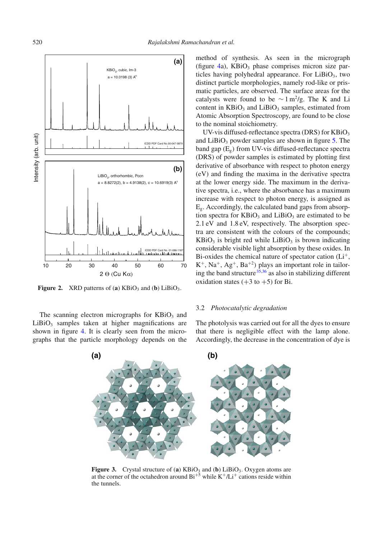<span id="page-3-0"></span>

**Figure 2.** XRD patterns of (**a**)  $KBiO<sub>3</sub>$  and (**b**)  $LiBiO<sub>3</sub>$ .

<span id="page-3-1"></span>The scanning electron micrographs for  $KBiO<sub>3</sub>$  and  $LiBiO<sub>3</sub>$  samples taken at higher magnifications are shown in figure [4.](#page-4-0) It is clearly seen from the micrographs that the particle morphology depends on the

method of synthesis. As seen in the micrograph (figure  $4a$ ), KBiO<sub>3</sub> phase comprises micron size particles having polyhedral appearance. For  $LiBiO<sub>3</sub>$ , two distinct particle morphologies, namely rod-like or prismatic particles, are observed. The surface areas for the catalysts were found to be  $\sim 1 \text{ m}^2/\text{g}$ . The K and Li content in  $KBiO_3$  and  $LiBiO_3$  samples, estimated from Atomic Absorption Spectroscopy, are found to be close to the nominal stoichiometry.

UV-vis diffused-reflectance spectra (DRS) for  $KBiO<sub>3</sub>$ and  $LiBiO<sub>3</sub>$  powder samples are shown in figure [5.](#page-4-1) The band gap  $(E_{\varphi})$  from UV-vis diffused-reflectance spectra (DRS) of powder samples is estimated by plotting first derivative of absorbance with respect to photon energy (eV) and finding the maxima in the derivative spectra at the lower energy side. The maximum in the derivative spectra, i.e., where the absorbance has a maximum increase with respect to photon energy, is assigned as  $E<sub>g</sub>$ . Accordingly, the calculated band gaps from absorption spectra for  $KBiO_3$  and  $LiBiO_3$  are estimated to be 2.1 eV and 1.8 eV, respectively. The absorption spectra are consistent with the colours of the compounds;  $KBiO<sub>3</sub>$  is bright red while LiBiO<sub>3</sub> is brown indicating considerable visible light absorption by these oxides. In Bi-oxides the chemical nature of spectator cation  $(L<sup>+</sup>,$  $K^+$ , Na<sup>+</sup>, Ag<sup>+</sup>, Ba<sup>+2</sup>) plays an important role in tailoring the band structure  $35,36$  $35,36$  as also in stabilizing different oxidation states  $(+3 \text{ to } +5)$  for Bi.

# 3.2 *Photocatalytic degradation*

The photolysis was carried out for all the dyes to ensure that there is negligible effect with the lamp alone. Accordingly, the decrease in the concentration of dye is



**Figure 3.** Crystal structure of (**a**)  $KBiO<sub>3</sub>$  and (**b**)  $LiBiO<sub>3</sub>$ . Oxygen atoms are at the corner of the octahedron around  $Bi^{+5}$  while  $K^+/Li^+$  cations reside within the tunnels.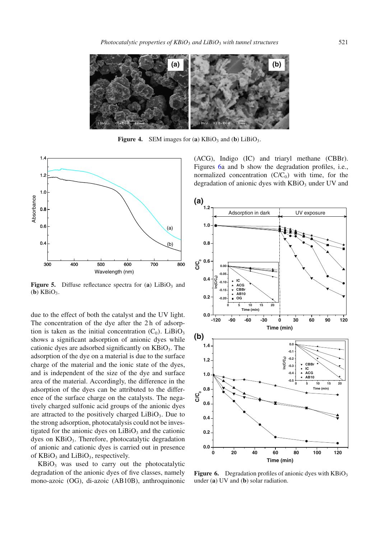<span id="page-4-0"></span>

**Figure 4.** SEM images for (**a**)  $KBiO<sub>3</sub>$  and (**b**)  $LiBiO<sub>3</sub>$ .

<span id="page-4-1"></span>

**Figure 5.** Diffuse reflectance spectra for  $(a)$  LiBiO<sub>3</sub> and  $(b)$  KBiO<sub>3</sub>.

due to the effect of both the catalyst and the UV light. The concentration of the dye after the 2 h of adsorption is taken as the initial concentration  $(C_0)$ . LiBiO<sub>3</sub> shows a significant adsorption of anionic dyes while cationic dyes are adsorbed significantly on  $KBiO<sub>3</sub>$ . The adsorption of the dye on a material is due to the surface charge of the material and the ionic state of the dyes, and is independent of the size of the dye and surface area of the material. Accordingly, the difference in the adsorption of the dyes can be attributed to the difference of the surface charge on the catalysts. The negatively charged sulfonic acid groups of the anionic dyes are attracted to the positively charged  $LiBiO<sub>3</sub>$ . Due to the strong adsorption, photocatalysis could not be investigated for the anionic dyes on  $LiBiO<sub>3</sub>$  and the cationic dyes on KBiO<sub>3</sub>. Therefore, photocatalytic degradation of anionic and cationic dyes is carried out in presence of  $KBiO<sub>3</sub>$  and  $LiBiO<sub>3</sub>$ , respectively.

 $KBiO<sub>3</sub>$  was used to carry out the photocatalytic degradation of the anionic dyes of five classes, namely mono-azoic (OG), di-azoic (AB10B), anthroquinonic (ACG), Indigo (IC) and triaryl methane (CBBr). Figures [6a](#page-4-2) and b show the degradation profiles, i.e., normalized concentration  $(C/C_0)$  with time, for the degradation of anionic dyes with  $KBiO<sub>3</sub>$  under UV and

<span id="page-4-2"></span>

**Figure 6.** Degradation profiles of anionic dyes with KBiO<sub>3</sub> under (**a**) UV and (**b**) solar radiation.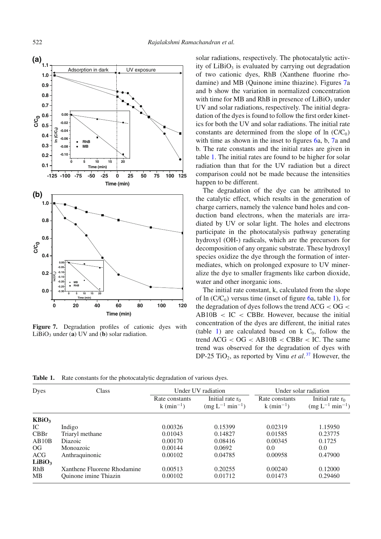<span id="page-5-0"></span>

**Figure 7.** Degradation profiles of cationic dyes with LiBiO<sub>3</sub> under (**a**) UV and (**b**) solar radiation.

solar radiations, respectively. The photocatalytic activity of  $LiBiO<sub>3</sub>$  is evaluated by carrying out degradation of two cationic dyes, RhB (Xanthene fluorine rhodamine) and MB (Quinone imine thiazine). Figures [7a](#page-5-0) and b show the variation in normalized concentration with time for MB and RhB in presence of  $LiBiO<sub>3</sub>$  under UV and solar radiations, respectively. The initial degradation of the dyes is found to follow the first order kinetics for both the UV and solar radiations. The initial rate constants are determined from the slope of ln  $(C/C_0)$ with time as shown in the inset to figures [6a](#page-4-2), b, [7a](#page-5-0) and b. The rate constants and the initial rates are given in table [1.](#page-5-1) The initial rates are found to be higher for solar radiation than that for the UV radiation but a direct comparison could not be made because the intensities happen to be different.

The degradation of the dye can be attributed to the catalytic effect, which results in the generation of charge carriers, namely the valence band holes and conduction band electrons, when the materials are irradiated by UV or solar light. The holes and electrons participate in the photocatalysis pathway generating hydroxyl (OH**·**) radicals, which are the precursors for decomposition of any organic substrate. These hydroxyl species oxidize the dye through the formation of intermediates, which on prolonged exposure to UV mineralize the dye to smaller fragments like carbon dioxide, water and other inorganic ions.

The initial rate constant, k, calculated from the slope of ln  $(C/C_0)$  versus time (inset of figure [6a](#page-4-2), table [1\)](#page-5-1), for the degradation of dyes follows the trend ACG < OG <  $AB10B < IC < CBBr$ . However, because the initial concentration of the dyes are different, the initial rates (table [1\)](#page-5-1) are calculated based on  $k$   $C_0$ , follow the trend  $ACG < OG < AB10B < CBBr < IC$ . The same trend was observed for the degradation of dyes with DP-25 TiO<sub>2</sub>, as reported by Vinu *et al*.<sup>[37](#page-7-14)</sup> However, the

<span id="page-5-1"></span>Table 1. Rate constants for the photocatalytic degradation of various dyes.

| Dyes               | Class                                                | Under UV radiation                  |                                              | Under solar radiation               |                                              |
|--------------------|------------------------------------------------------|-------------------------------------|----------------------------------------------|-------------------------------------|----------------------------------------------|
|                    |                                                      | Rate constants<br>$k \, (min^{-1})$ | Initial rate $r_0$<br>$(mg L^{-1} min^{-1})$ | Rate constants<br>$k \, (min^{-1})$ | Initial rate $r_0$<br>$(mg L^{-1} min^{-1})$ |
| KBiO <sub>3</sub>  |                                                      |                                     |                                              |                                     |                                              |
| IC                 | Indigo                                               | 0.00326                             | 0.15399                                      | 0.02319                             | 1.15950                                      |
| CBBr               | Triaryl methane                                      | 0.01043                             | 0.14827                                      | 0.01585                             | 0.23775                                      |
| AB10B              | Diazoic                                              | 0.00170                             | 0.08416                                      | 0.00345                             | 0.1725                                       |
| OG.                | Monoazoic                                            | 0.00144                             | 0.0692                                       | 0.0                                 | 0.0                                          |
| <b>ACG</b>         | Anthraquinonic                                       | 0.00102                             | 0.04785                                      | 0.00958                             | 0.47900                                      |
| LiBiO <sub>3</sub> |                                                      |                                     |                                              |                                     |                                              |
| RhB<br>MB          | Xanthene Fluorene Rhodamine<br>Quinone imine Thiazin | 0.00513<br>0.00102                  | 0.20255<br>0.01712                           | 0.00240<br>0.01473                  | 0.12000<br>0.29460                           |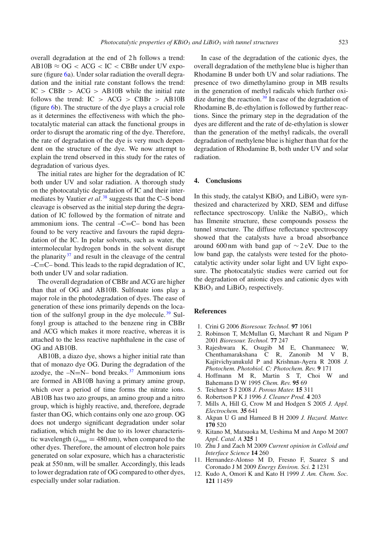overall degradation at the end of 2 h follows a trend:  $AB10B \approx OG < ACG < IC < CBBr$  under UV exposure (figure [6a](#page-4-2)). Under solar radiation the overall degradation and the initial rate constant follows the trend:  $IC > CBBr > ACG > AB10B$  while the initial rate follows the trend:  $IC > ACG > CBBr > AB10B$ (figure [6b](#page-4-2)). The structure of the dye plays a crucial role as it determines the effectiveness with which the photocatalytic material can attack the functional groups in order to disrupt the aromatic ring of the dye. Therefore, the rate of degradation of the dye is very much dependent on the structure of the dye. We now attempt to explain the trend observed in this study for the rates of degradation of various dyes.

The initial rates are higher for the degradation of IC both under UV and solar radiation. A thorough study on the photocatalytic degradation of IC and their intermediates by Vautier *et al*. [38](#page-7-15) suggests that the C–S bond cleavage is observed as the initial step during the degradation of IC followed by the formation of nitrate and ammonium ions. The central  $-C=C-$  bond has been found to be very reactive and favours the rapid degradation of the IC. In polar solvents, such as water, the intermolecular hydrogen bonds in the solvent disrupt the planarity  $37$  and result in the cleavage of the central –C=C– bond. This leads to the rapid degradation of IC, both under UV and solar radiation.

The overall degradation of CBBr and ACG are higher than that of OG and AB10B. Sulfonate ions play a major role in the photodegradation of dyes. The ease of generation of these ions primarily depends on the location of the sulfonyl group in the dye molecule. [39](#page-7-16) Sulfonyl group is attached to the benzene ring in CBBr and ACG which makes it more reactive, whereas it is attached to the less reactive naphthalene in the case of OG and AB10B.

AB10B, a diazo dye, shows a higher initial rate than that of monazo dye OG. During the degradation of the azodye, the  $-N=N-$  bond breaks.<sup>[37](#page-7-14)</sup> Ammonium ions are formed in AB10B having a primary amine group, which over a period of time forms the nitrate ions. AB10B has two azo groups, an amino group and a nitro group, which is highly reactive, and, therefore, degrade faster than OG, which contains only one azo group. OG does not undergo significant degradation under solar radiation, which might be due to its lower characteristic wavelength ( $\lambda_{\text{max}} = 480 \text{ nm}$ ), when compared to the other dyes. Therefore, the amount of electron hole pairs generated on solar exposure, which has a characteristic peak at 550 nm, will be smaller. Accordingly, this leads to lower degradation rate of OG compared to other dyes, especially under solar radiation.

In case of the degradation of the cationic dyes, the overall degradation of the methylene blue is higher than Rhodamine B under both UV and solar radiations. The presence of two dimethylamino group in MB results in the generation of methyl radicals which further oxidize during the reaction.  $39 \text{ In case of the degradation of}$  $39 \text{ In case of the degradation of}$ Rhodamine B, de-ethylation is followed by further reactions. Since the primary step in the degradation of the dyes are different and the rate of de-ethylation is slower than the generation of the methyl radicals, the overall degradation of methylene blue is higher than that for the degradation of Rhodamine B, both under UV and solar radiation.

#### **4. Conclusions**

In this study, the catalyst  $KBiO<sub>3</sub>$  and  $LiBiO<sub>3</sub>$  were synthesized and characterized by XRD, SEM and diffuse reflectance spectroscopy. Unlike the  $NaBiO<sub>3</sub>$ , which has Ilmenite structure, these compounds possess the tunnel structure. The diffuse reflectance spectroscopy showed that the catalysts have a broad absorbance around 600 nm with band gap of  $\sim$  2 eV. Due to the low band gap, the catalysts were tested for the photocatalytic activity under solar light and UV light exposure. The photocatalytic studies were carried out for the degradation of anionic dyes and cationic dyes with  $KBiO<sub>3</sub>$  and  $LiBiO<sub>3</sub>$  respectively.

## **References**

- <span id="page-6-0"></span>1. Crini G 2006 *Bioresour. Technol.* **97** 1061
- <span id="page-6-1"></span>2. Robinson T, McMullan G, Marchant R and Nigam P 2001 *Bioresour. Technol.* **77** 247
- <span id="page-6-2"></span>3. Rajeshwara K, Osugib M E, Chanmaneec W, Chenthamarakshana C R, Zanonib M V B, Kajitvichyanukuld P and Krishnan-Ayera R 2008 *J. Photochem. Photobiol. C: Photochem. Rev.* **9** 171
- 4. Hoffmann M R, Martin S T, Choi W and Bahemann D W 1995 *Chem. Rev.* **95** 69
- 5. Teichner S J 2008 *J. Porous Mater.* **15** 311
- <span id="page-6-3"></span>6. Robertson P K J 1996 *J. Cleaner Prod.* **4** 203
- <span id="page-6-4"></span>7. Mills A, Hill G, Crow M and Hodgen S 2005 *J. Appl. Electrochem.* **35** 641
- <span id="page-6-5"></span>8. Akpan U G and Hameed B H 2009 *J. Hazard. Matter.* **170** 520
- 9. Kitano M, Matsuoka M, Ueshima M and Anpo M 2007 *Appl. Catal. A* **325** 1
- <span id="page-6-6"></span>10. Zhu J and Zach M 2009 *Current opinion in Colloid and Interface Science* **14** 260
- <span id="page-6-7"></span>11. Hernandez-Alonso M D, Fresno F, Suarez S and Coronado J M 2009 *Energy Environ. Sci.* **2** 1231
- <span id="page-6-8"></span>12. Kudo A, Omori K and Kato H 1999 *J. Am. Chem. Soc.* **121** 11459